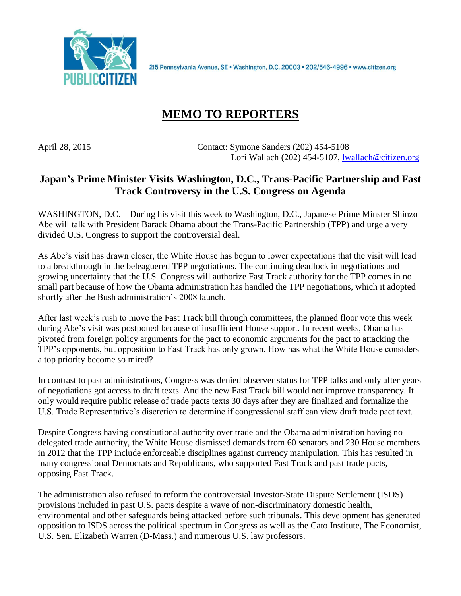

2I5 Pennsylvania Avenue, SE · Washington, D.C. 20003 · 202/546-4996 · www.citizen.org

## **MEMO TO REPORTERS**

April 28, 2015 Contact: Symone Sanders (202) 454-5108 Lori Wallach (202) 454-5107, [lwallach@citizen.org](mailto:lwallach@citizen.org)

## **Japan's Prime Minister Visits Washington, D.C., Trans-Pacific Partnership and Fast Track Controversy in the U.S. Congress on Agenda**

WASHINGTON, D.C. – During his visit this week to Washington, D.C., Japanese Prime Minster Shinzo Abe will talk with President Barack Obama about the Trans-Pacific Partnership (TPP) and urge a very divided U.S. Congress to support the controversial deal.

As Abe's visit has drawn closer, the White House has begun to lower expectations that the visit will lead to a breakthrough in the beleaguered TPP negotiations. The continuing deadlock in negotiations and growing uncertainty that the U.S. Congress will authorize Fast Track authority for the TPP comes in no small part because of how the Obama administration has handled the TPP negotiations, which it adopted shortly after the Bush administration's 2008 launch.

After last week's rush to move the Fast Track bill through committees, the planned floor vote this week during Abe's visit was postponed because of insufficient House support. In recent weeks, Obama has pivoted from foreign policy arguments for the pact to economic arguments for the pact to attacking the TPP's opponents, but opposition to Fast Track has only grown. How has what the White House considers a top priority become so mired?

In contrast to past administrations, Congress was denied observer status for TPP talks and only after years of negotiations got access to draft texts. And the new Fast Track bill would not improve transparency. It only would require public release of trade pacts texts 30 days after they are finalized and formalize the U.S. Trade Representative's discretion to determine if congressional staff can view draft trade pact text.

Despite Congress having constitutional authority over trade and the Obama administration having no delegated trade authority, the White House dismissed demands from 60 senators and 230 House members in 2012 that the TPP include enforceable disciplines against currency manipulation. This has resulted in many congressional Democrats and Republicans, who supported Fast Track and past trade pacts, opposing Fast Track.

The administration also refused to reform the controversial Investor-State Dispute Settlement (ISDS) provisions included in past U.S. pacts despite a wave of non-discriminatory domestic health, environmental and other safeguards being attacked before such tribunals. This development has generated opposition to ISDS across the political spectrum in Congress as well as the Cato Institute, The Economist, U.S. Sen. Elizabeth Warren (D-Mass.) and numerous U.S. law professors.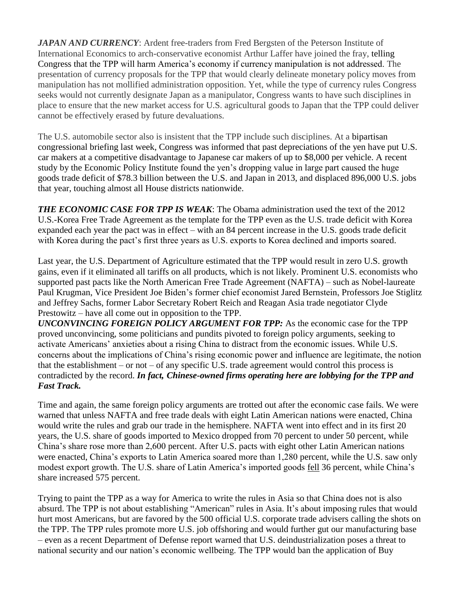*JAPAN AND CURRENCY*: Ardent free-traders from Fred Bergsten of the Peterson Institute of International Economics to arch-conservative economist Arthur Laffer have joined the fray, telling Congress that the TPP will harm America's economy if currency manipulation is not addressed. The presentation of currency proposals for the TPP that would clearly delineate monetary policy moves from manipulation has not mollified administration opposition. Yet, while the type of currency rules Congress seeks would not currently designate Japan as a manipulator, Congress wants to have such disciplines in place to ensure that the new market access for U.S. agricultural goods to Japan that the TPP could deliver cannot be effectively erased by future devaluations.

The U.S. automobile sector also is insistent that the TPP include such disciplines. At a bipartisan congressional briefing last week, Congress was informed that past depreciations of the yen have put U.S. car makers at a competitive disadvantage to Japanese car makers of up to \$8,000 per vehicle. A recent study by the Economic Policy Institute found the yen's dropping value in large part caused the huge goods trade deficit of \$78.3 billion between the U.S. and Japan in 2013, and displaced 896,000 U.S. jobs that year, touching almost all House districts nationwide.

*THE ECONOMIC CASE FOR TPP IS WEAK*: The Obama administration used the text of the 2012 U.S.-Korea Free Trade Agreement as the template for the TPP even as the U.S. trade deficit with Korea expanded each year the pact was in effect – with an 84 percent increase in the U.S. goods trade deficit with Korea during the pact's first three years as U.S. exports to Korea declined and imports soared.

Last year, the U.S. Department of Agriculture estimated that the TPP would result in zero U.S. growth gains, even if it eliminated all tariffs on all products, which is not likely. Prominent U.S. economists who supported past pacts like the North American Free Trade Agreement (NAFTA) – such as Nobel-laureate Paul Krugman, Vice President Joe Biden's former chief economist Jared Bernstein, Professors Joe Stiglitz and Jeffrey Sachs, former Labor Secretary Robert Reich and Reagan Asia trade negotiator Clyde Prestowitz – have all come out in opposition to the TPP.

*UNCONVINCING FOREIGN POLICY ARGUMENT FOR TPP:* As the economic case for the TPP proved unconvincing, some politicians and pundits pivoted to foreign policy arguments, seeking to activate Americans' anxieties about a rising China to distract from the economic issues. While U.S. concerns about the implications of China's rising economic power and influence are legitimate, the notion that the establishment – or not – of any specific U.S. trade agreement would control this process is contradicted by the record. *In fact, Chinese-owned firms operating here are lobbying for the TPP and Fast Track.*

Time and again, the same foreign policy arguments are trotted out after the economic case fails. We were warned that unless NAFTA and free trade deals with eight Latin American nations were enacted, China would write the rules and grab our trade in the hemisphere. NAFTA went into effect and in its first 20 years, the U.S. share of goods imported to Mexico dropped from 70 percent to under 50 percent, while China's share rose more than 2,600 percent. After U.S. pacts with eight other Latin American nations were enacted, China's exports to Latin America soared more than 1,280 percent, while the U.S. saw only modest export growth. The U.S. share of Latin America's imported goods fell 36 percent, while China's share increased 575 percent.

Trying to paint the TPP as a way for America to write the rules in Asia so that China does not is also absurd. The TPP is not about establishing "American" rules in Asia. It's about imposing rules that would hurt most Americans, but are favored by the 500 official U.S. corporate trade advisers calling the shots on the TPP. The TPP rules promote more U.S. job offshoring and would further gut our manufacturing base – even as a recent Department of Defense report warned that U.S. deindustrialization poses a threat to national security and our nation's economic wellbeing. The TPP would ban the application of Buy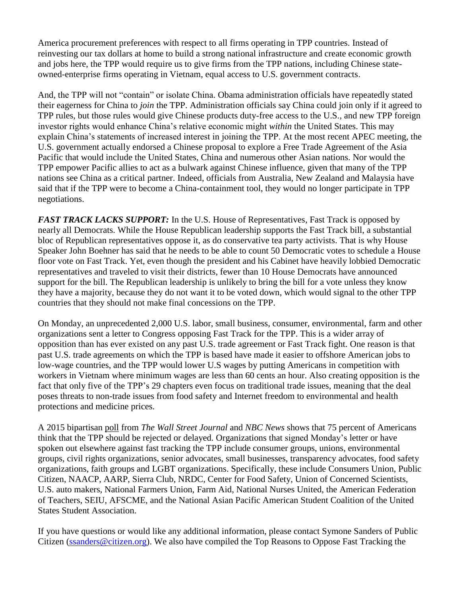America procurement preferences with respect to all firms operating in TPP countries. Instead of reinvesting our tax dollars at home to build a strong national infrastructure and create economic growth and jobs here, the TPP would require us to give firms from the TPP nations, including Chinese stateowned-enterprise firms operating in Vietnam, equal access to U.S. government contracts.

And, the TPP will not "contain" or isolate China. Obama administration officials have repeatedly stated their eagerness for China to *join* the TPP. Administration officials say China could join only if it agreed to TPP rules, but those rules would give Chinese products duty-free access to the U.S., and new TPP foreign investor rights would enhance China's relative economic might *within* the United States. This may explain China's statements of increased interest in joining the TPP. At the most recent APEC meeting, the U.S. government actually endorsed a Chinese proposal to explore a Free Trade Agreement of the Asia Pacific that would include the United States, China and numerous other Asian nations. Nor would the TPP empower Pacific allies to act as a bulwark against Chinese influence, given that many of the TPP nations see China as a critical partner. Indeed, officials from Australia, New Zealand and Malaysia have said that if the TPP were to become a China-containment tool, they would no longer participate in TPP negotiations.

*FAST TRACK LACKS SUPPORT:* In the U.S. House of Representatives, Fast Track is opposed by nearly all Democrats. While the House Republican leadership supports the Fast Track bill, a substantial bloc of Republican representatives oppose it, as do conservative tea party activists. That is why House Speaker John Boehner has said that he needs to be able to count 50 Democratic votes to schedule a House floor vote on Fast Track. Yet, even though the president and his Cabinet have heavily lobbied Democratic representatives and traveled to visit their districts, fewer than 10 House Democrats have announced support for the bill. The Republican leadership is unlikely to bring the bill for a vote unless they know they have a majority, because they do not want it to be voted down, which would signal to the other TPP countries that they should not make final concessions on the TPP.

On Monday, an unprecedented 2,000 U.S. labor, small business, consumer, environmental, farm and other organizations sent a letter to Congress opposing Fast Track for the TPP. This is a wider array of opposition than has ever existed on any past U.S. trade agreement or Fast Track fight. One reason is that past U.S. trade agreements on which the TPP is based have made it easier to offshore American jobs to low-wage countries, and the TPP would lower U.S wages by putting Americans in competition with workers in Vietnam where minimum wages are less than 60 cents an hour. Also creating opposition is the fact that only five of the TPP's 29 chapters even focus on traditional trade issues, meaning that the deal poses threats to non-trade issues from food safety and Internet freedom to environmental and health protections and medicine prices.

A 2015 bipartisan [poll](http://blogs.wsj.com/washwire/2015/01/21/poll-finds-agenda-gap-between-leaders-american-people/) from *The Wall Street Journal* and *NBC News* shows that 75 percent of Americans think that the TPP should be rejected or delayed. Organizations that signed Monday's letter or have spoken out elsewhere against fast tracking the TPP include consumer groups, unions, environmental groups, civil rights organizations, senior advocates, small businesses, transparency advocates, food safety organizations, faith groups and LGBT organizations. Specifically, these include Consumers Union, Public Citizen, NAACP, AARP, Sierra Club, NRDC, Center for Food Safety, Union of Concerned Scientists, U.S. auto makers, National Farmers Union, Farm Aid, National Nurses United, the American Federation of Teachers, SEIU, AFSCME, and the National Asian Pacific American Student Coalition of the United States Student Association.

If you have questions or would like any additional information, please contact Symone Sanders of Public Citizen (ssanders @citizen.org). We also have compiled the Top Reasons to Oppose Fast Tracking the